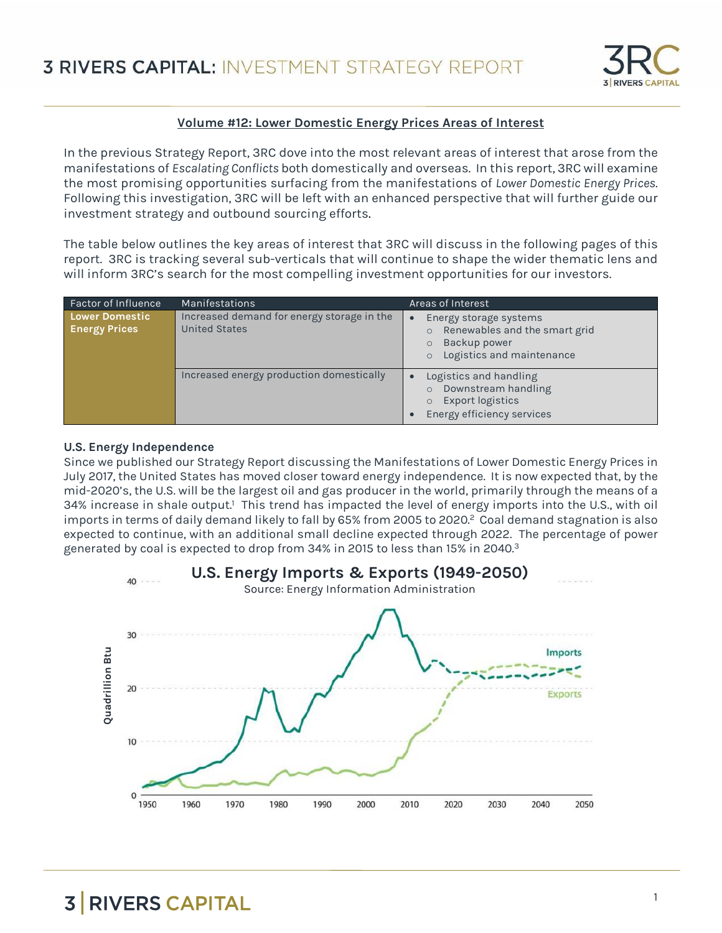

#### **Volume #12: Lower Domestic Energy Prices Areas of Interest**

In the previous Strategy Report, 3RC dove into the most relevant areas of interest that arose from the manifestations of *Escalating Conflicts* both domestically and overseas. In this report, 3RC will examine the most promising opportunities surfacing from the manifestations of *Lower Domestic Energy Prices*. Following this investigation, 3RC will be left with an enhanced perspective that will further guide our investment strategy and outbound sourcing efforts.

The table below outlines the key areas of interest that 3RC will discuss in the following pages of this report. 3RC is tracking several sub-verticals that will continue to shape the wider thematic lens and will inform 3RC's search for the most compelling investment opportunities for our investors.

| <b>Factor of Influence</b>             | <b>Manifestations</b>                                              | Areas of Interest                                                                                                                       |
|----------------------------------------|--------------------------------------------------------------------|-----------------------------------------------------------------------------------------------------------------------------------------|
| Lower Domestic<br><b>Energy Prices</b> | Increased demand for energy storage in the<br><b>United States</b> | Energy storage systems<br>$\bullet$<br>Renewables and the smart grid<br>$\circ$<br>Backup power<br>$\circ$<br>Logistics and maintenance |
|                                        | Increased energy production domestically                           | Logistics and handling<br>г<br>Downstream handling<br>$\circ$<br><b>Export logistics</b><br>Energy efficiency services                  |

#### **U.S. Energy Independence**

Since we published our Strategy Report discussing the Manifestations of Lower Domestic Energy Prices in July 2017, the United States has moved closer toward energy independence. It is now expected that, by the mid-2020's, the U.S. will be the largest oil and gas producer in the world, primarily through the means of a 34% increase in shale output.<sup>1</sup> This trend has impacted the level of energy imports into the U.S., with oil imports in terms of daily demand likely to fall by 65% from 2005 to 2020.<sup>2</sup> Coal demand stagnation is also expected to continue, with an additional small decline expected through 2022. The percentage of power generated by coal is expected to drop from 34% in 2015 to less than 15% in 2040.<sup>3</sup>

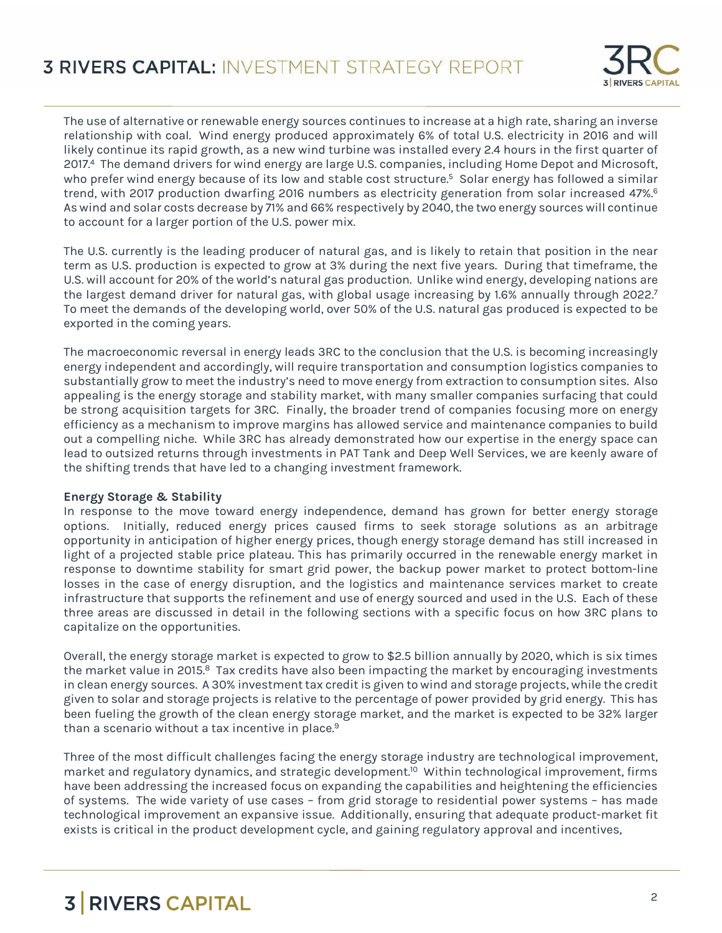

The use of alternative or renewable energy sources continues to increase at a high rate, sharing an inverse relationship with coal. Wind energy produced approximately 6% of total U.S. electricity in 2016 and will likely continue its rapid growth, as a new wind turbine was installed every 2.4 hours in the first quarter of 2017.<sup>4</sup> The demand drivers for wind energy are large U.S. companies, including Home Depot and Microsoft, who prefer wind energy because of its low and stable cost structure.<sup>5</sup> Solar energy has followed a similar trend, with 2017 production dwarfing 2016 numbers as electricity generation from solar increased 47%.<sup>6</sup> As wind and solar costs decrease by 71% and 66% respectively by 2040, the two energy sources will continue to account for a larger portion of the U.S. power mix.

The U.S. currently is the leading producer of natural gas, and is likely to retain that position in the near term as U.S. production is expected to grow at 3% during the next five years. During that timeframe, the U.S. will account for 20% of the world's natural gas production. Unlike wind energy, developing nations are the largest demand driver for natural gas, with global usage increasing by 1.6% annually through 2022.<sup>7</sup> To meet the demands of the developing world, over 50% of the U.S. natural gas produced is expected to be exported in the coming years.

The macroeconomic reversal in energy leads 3RC to the conclusion that the U.S. is becoming increasingly energy independent and accordingly, will require transportation and consumption logistics companies to substantially grow to meet the industry's need to move energy from extraction to consumption sites. Also appealing is the energy storage and stability market, with many smaller companies surfacing that could be strong acquisition targets for 3RC. Finally, the broader trend of companies focusing more on energy efficiency as a mechanism to improve margins has allowed service and maintenance companies to build out a compelling niche. While 3RC has already demonstrated how our expertise in the energy space can lead to outsized returns through investments in PAT Tank and Deep Well Services, we are keenly aware of the shifting trends that have led to a changing investment framework.

#### **Energy Storage & Stability**

In response to the move toward energy independence, demand has grown for better energy storage options. Initially, reduced energy prices caused firms to seek storage solutions as an arbitrage opportunity in anticipation of higher energy prices, though energy storage demand has still increased in light of a projected stable price plateau. This has primarily occurred in the renewable energy market in response to downtime stability for smart grid power, the backup power market to protect bottom-line losses in the case of energy disruption, and the logistics and maintenance services market to create infrastructure that supports the refinement and use of energy sourced and used in the U.S. Each of these three areas are discussed in detail in the following sections with a specific focus on how 3RC plans to capitalize on the opportunities.

Overall, the energy storage market is expected to grow to \$2.5 billion annually by 2020, which is six times the market value in 2015.<sup>8</sup> Tax credits have also been impacting the market by encouraging investments in clean energy sources. A 30% investment tax credit is given to wind and storage projects, while the credit given to solar and storage projects is relative to the percentage of power provided by grid energy. This has been fueling the growth of the clean energy storage market, and the market is expected to be 32% larger than a scenario without a tax incentive in place.<sup>9</sup>

Three of the most difficult challenges facing the energy storage industry are technological improvement, market and regulatory dynamics, and strategic development.<sup>10</sup> Within technological improvement, firms have been addressing the increased focus on expanding the capabilities and heightening the efficiencies of systems. The wide variety of use cases – from grid storage to residential power systems – has made technological improvement an expansive issue. Additionally, ensuring that adequate product-market fit exists is critical in the product development cycle, and gaining regulatory approval and incentives,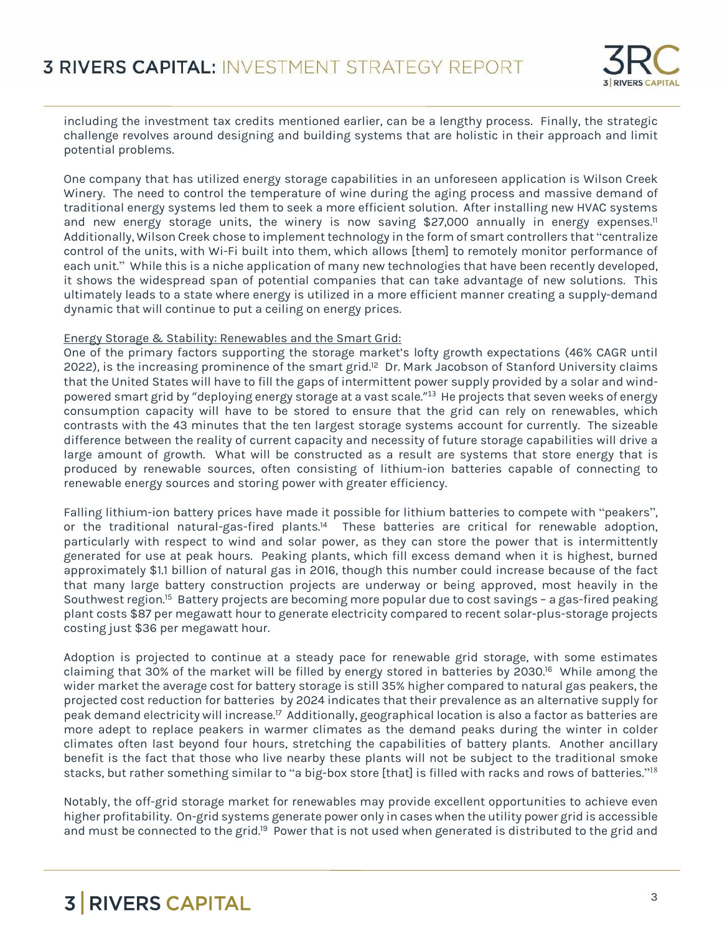

including the investment tax credits mentioned earlier, can be a lengthy process. Finally, the strategic challenge revolves around designing and building systems that are holistic in their approach and limit potential problems.

One company that has utilized energy storage capabilities in an unforeseen application is Wilson Creek Winery. The need to control the temperature of wine during the aging process and massive demand of traditional energy systems led them to seek a more efficient solution. After installing new HVAC systems and new energy storage units, the winery is now saving \$27,000 annually in energy expenses.<sup>11</sup> Additionally, Wilson Creek chose to implement technology in the form of smart controllers that "centralize control of the units, with Wi-Fi built into them, which allows [them] to remotely monitor performance of each unit." While this is a niche application of many new technologies that have been recently developed, it shows the widespread span of potential companies that can take advantage of new solutions. This ultimately leads to a state where energy is utilized in a more efficient manner creating a supply-demand dynamic that will continue to put a ceiling on energy prices.

#### Energy Storage & Stability: Renewables and the Smart Grid:

One of the primary factors supporting the storage market's lofty growth expectations (46% CAGR until 2022), is the increasing prominence of the smart grid.<sup>12</sup> Dr. Mark Jacobson of Stanford University claims that the United States will have to fill the gaps of intermittent power supply provided by a solar and windpowered smart grid by "deploying energy storage at a vast scale." <sup>13</sup> He projects that seven weeks of energy consumption capacity will have to be stored to ensure that the grid can rely on renewables, which contrasts with the 43 minutes that the ten largest storage systems account for currently. The sizeable difference between the reality of current capacity and necessity of future storage capabilities will drive a large amount of growth. What will be constructed as a result are systems that store energy that is produced by renewable sources, often consisting of lithium-ion batteries capable of connecting to renewable energy sources and storing power with greater efficiency.

Falling lithium-ion battery prices have made it possible for lithium batteries to compete with "peakers", or the traditional natural-gas-fired plants.<sup>14</sup> These batteries are critical for renewable adoption, particularly with respect to wind and solar power, as they can store the power that is intermittently generated for use at peak hours. Peaking plants, which fill excess demand when it is highest, burned approximately \$1.1 billion of natural gas in 2016, though this number could increase because of the fact that many large battery construction projects are underway or being approved, most heavily in the Southwest region.<sup>15</sup> Battery projects are becoming more popular due to cost savings – a gas-fired peaking plant costs \$87 per megawatt hour to generate electricity compared to recent solar-plus-storage projects costing just \$36 per megawatt hour.

Adoption is projected to continue at a steady pace for renewable grid storage, with some estimates claiming that 30% of the market will be filled by energy stored in batteries by 2030.<sup>16</sup> While among the wider market the average cost for battery storage is still 35% higher compared to natural gas peakers, the projected cost reduction for batteries by 2024 indicates that their prevalence as an alternative supply for peak demand electricity will increase.<sup>17</sup> Additionally, geographical location is also a factor as batteries are more adept to replace peakers in warmer climates as the demand peaks during the winter in colder climates often last beyond four hours, stretching the capabilities of battery plants. Another ancillary benefit is the fact that those who live nearby these plants will not be subject to the traditional smoke stacks, but rather something similar to "a big-box store [that] is filled with racks and rows of batteries." $^{18}$ 

Notably, the off-grid storage market for renewables may provide excellent opportunities to achieve even higher profitability. On-grid systems generate power only in cases when the utility power grid is accessible and must be connected to the grid.<sup>19</sup> Power that is not used when generated is distributed to the grid and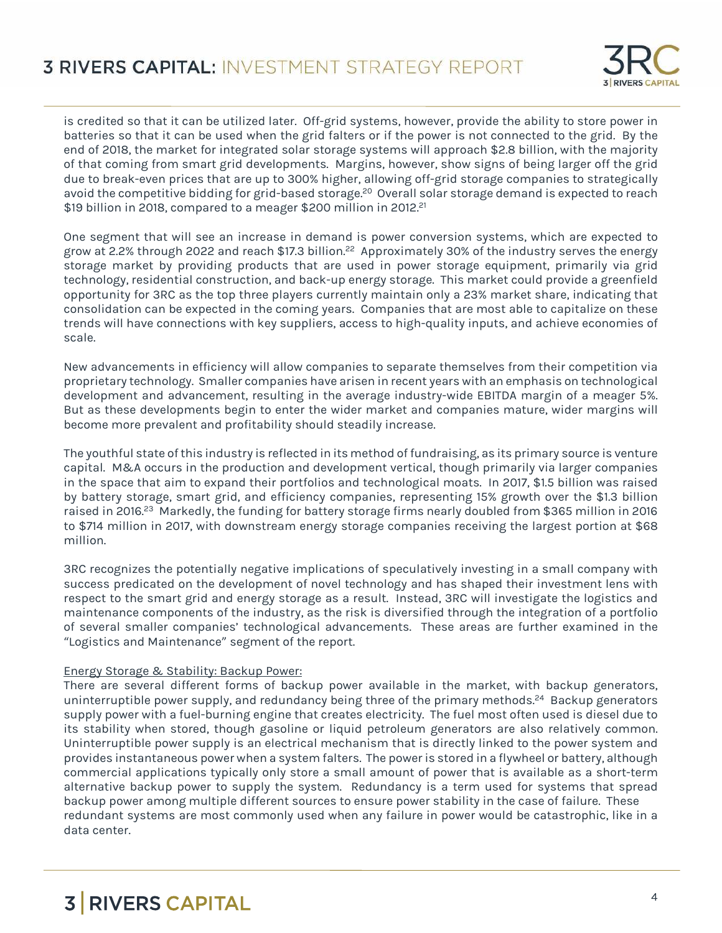

is credited so that it can be utilized later. Off-grid systems, however, provide the ability to store power in batteries so that it can be used when the grid falters or if the power is not connected to the grid. By the end of 2018, the market for integrated solar storage systems will approach \$2.8 billion, with the majority of that coming from smart grid developments. Margins, however, show signs of being larger off the grid due to break-even prices that are up to 300% higher, allowing off-grid storage companies to strategically avoid the competitive bidding for grid-based storage.<sup>20</sup> Overall solar storage demand is expected to reach \$19 billion in 2018, compared to a meager \$200 million in 2012.<sup>21</sup>

One segment that will see an increase in demand is power conversion systems, which are expected to grow at 2.2% through 2022 and reach \$17.3 billion.<sup>22</sup> Approximately 30% of the industry serves the energy storage market by providing products that are used in power storage equipment, primarily via grid technology, residential construction, and back-up energy storage. This market could provide a greenfield opportunity for 3RC as the top three players currently maintain only a 23% market share, indicating that consolidation can be expected in the coming years. Companies that are most able to capitalize on these trends will have connections with key suppliers, access to high-quality inputs, and achieve economies of scale.

New advancements in efficiency will allow companies to separate themselves from their competition via proprietary technology. Smaller companies have arisen in recent years with an emphasis on technological development and advancement, resulting in the average industry-wide EBITDA margin of a meager 5%. But as these developments begin to enter the wider market and companies mature, wider margins will become more prevalent and profitability should steadily increase.

The youthful state of this industry is reflected in its method of fundraising, as its primary source is venture capital. M&A occurs in the production and development vertical, though primarily via larger companies in the space that aim to expand their portfolios and technological moats. In 2017, \$1.5 billion was raised by battery storage, smart grid, and efficiency companies, representing 15% growth over the \$1.3 billion raised in 2016.<sup>23</sup> Markedly, the funding for battery storage firms nearly doubled from \$365 million in 2016 to \$714 million in 2017, with downstream energy storage companies receiving the largest portion at \$68 million.

3RC recognizes the potentially negative implications of speculatively investing in a small company with success predicated on the development of novel technology and has shaped their investment lens with respect to the smart grid and energy storage as a result. Instead, 3RC will investigate the logistics and maintenance components of the industry, as the risk is diversified through the integration of a portfolio of several smaller companies' technological advancements. These areas are further examined in the "Logistics and Maintenance" segment of the report.

#### Energy Storage & Stability: Backup Power:

There are several different forms of backup power available in the market, with backup generators, uninterruptible power supply, and redundancy being three of the primary methods.<sup>24</sup> Backup generators supply power with a fuel-burning engine that creates electricity. The fuel most often used is diesel due to its stability when stored, though gasoline or liquid petroleum generators are also relatively common. Uninterruptible power supply is an electrical mechanism that is directly linked to the power system and provides instantaneous power when a system falters. The power is stored in a flywheel or battery, although commercial applications typically only store a small amount of power that is available as a short-term alternative backup power to supply the system. Redundancy is a term used for systems that spread backup power among multiple different sources to ensure power stability in the case of failure. These redundant systems are most commonly used when any failure in power would be catastrophic, like in a data center.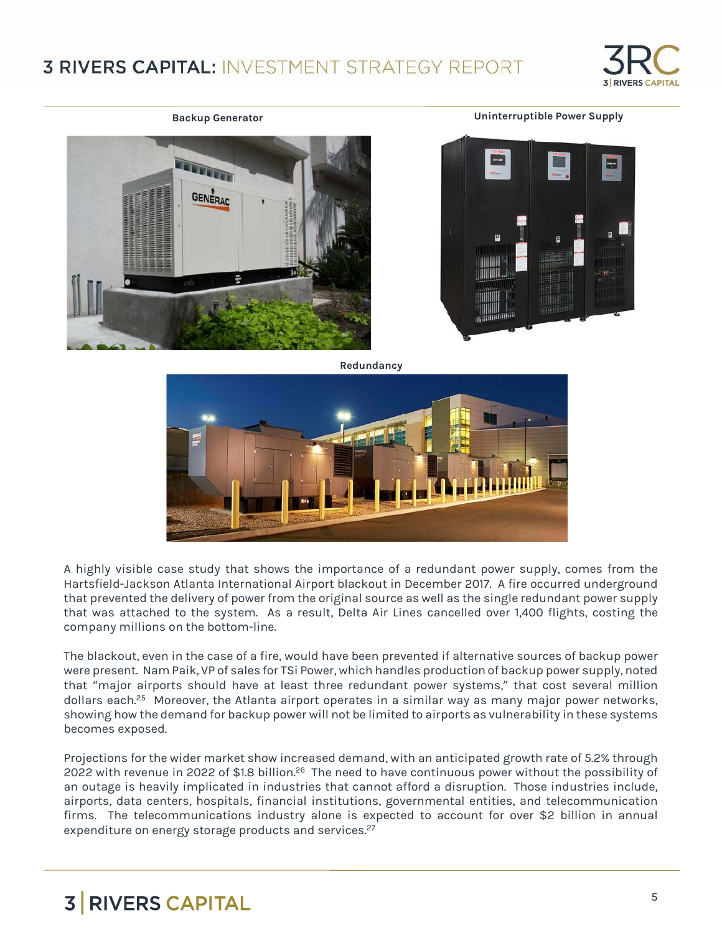### **3 RIVERS CAPITAL: INVESTMENT STRATEGY REPORT**



**Backup Generator Uninterruptible Power Supply**







**Redundancy**



A highly visible case study that shows the importance of a redundant power supply, comes from the Hartsfield-Jackson Atlanta International Airport blackout in December 2017. A fire occurred underground that prevented the delivery of power from the original source as well as the single redundant power supply that was attached to the system. As a result, Delta Air Lines cancelled over 1,400 flights, costing the company millions on the bottom-line.

The blackout, even in the case of a fire, would have been prevented if alternative sources of backup power were present. Nam Paik, VP of sales for TSi Power, which handles production of backup power supply, noted that "major airports should have at least three redundant power systems," that cost several million dollars each.<sup>25</sup> Moreover, the Atlanta airport operates in a similar way as many major power networks, showing how the demand for backup power will not be limited to airports as vulnerability in these systems becomes exposed.

Projections for the wider market show increased demand, with an anticipated growth rate of 5.2% through 2022 with revenue in 2022 of \$1.8 billion.<sup>26</sup> The need to have continuous power without the possibility of an outage is heavily implicated in industries that cannot afford a disruption. Those industries include, airports, data centers, hospitals, financial institutions, governmental entities, and telecommunication firms. The telecommunications industry alone is expected to account for over \$2 billion in annual expenditure on energy storage products and services. 27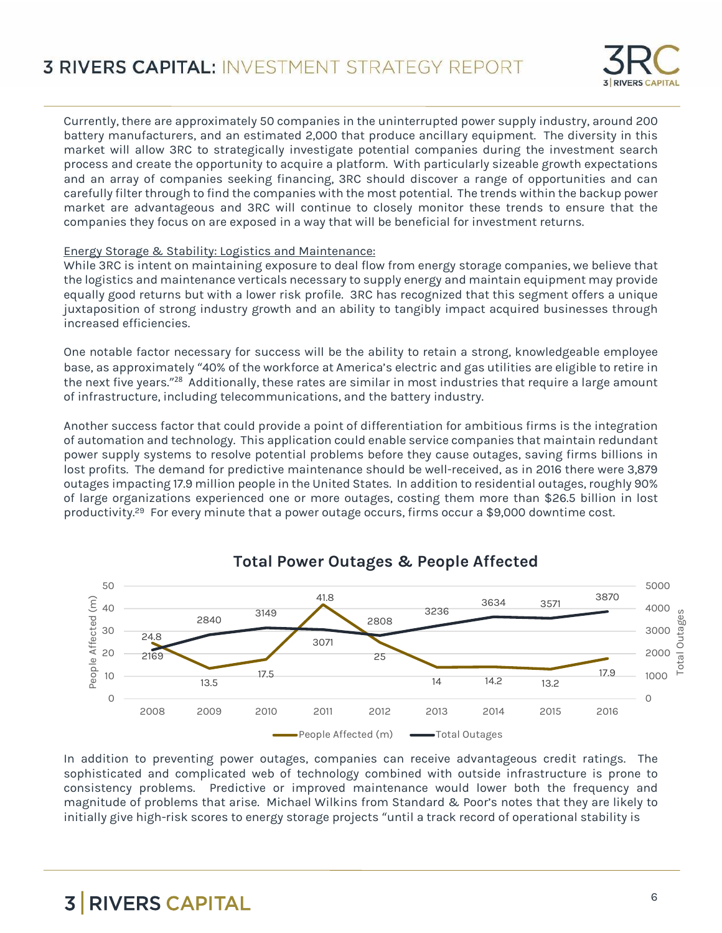

Currently, there are approximately 50 companies in the uninterrupted power supply industry, around 200 battery manufacturers, and an estimated 2,000 that produce ancillary equipment. The diversity in this market will allow 3RC to strategically investigate potential companies during the investment search process and create the opportunity to acquire a platform. With particularly sizeable growth expectations and an array of companies seeking financing, 3RC should discover a range of opportunities and can carefully filter through to find the companies with the most potential. The trends within the backup power market are advantageous and 3RC will continue to closely monitor these trends to ensure that the companies they focus on are exposed in a way that will be beneficial for investment returns.

#### Energy Storage & Stability: Logistics and Maintenance:

While 3RC is intent on maintaining exposure to deal flow from energy storage companies, we believe that the logistics and maintenance verticals necessary to supply energy and maintain equipment may provide equally good returns but with a lower risk profile. 3RC has recognized that this segment offers a unique juxtaposition of strong industry growth and an ability to tangibly impact acquired businesses through increased efficiencies.

One notable factor necessary for success will be the ability to retain a strong, knowledgeable employee base, as approximately "40% of the workforce at America's electric and gas utilities are eligible to retire in the next five years." <sup>28</sup> Additionally, these rates are similar in most industries that require a large amount of infrastructure, including telecommunications, and the battery industry.

Another success factor that could provide a point of differentiation for ambitious firms is the integration of automation and technology. This application could enable service companies that maintain redundant power supply systems to resolve potential problems before they cause outages, saving firms billions in lost profits. The demand for predictive maintenance should be well-received, as in 2016 there were 3,879 outages impacting 17.9 million people in the United States. In addition to residential outages, roughly 90% of large organizations experienced one or more outages, costing them more than \$26.5 billion in lost productivity.<sup>29</sup> For every minute that a power outage occurs, firms occur a \$9,000 downtime cost.



#### **Total Power Outages & People Affected**

In addition to preventing power outages, companies can receive advantageous credit ratings. The sophisticated and complicated web of technology combined with outside infrastructure is prone to consistency problems. Predictive or improved maintenance would lower both the frequency and magnitude of problems that arise. Michael Wilkins from Standard & Poor's notes that they are likely to initially give high-risk scores to energy storage projects "until a track record of operational stability is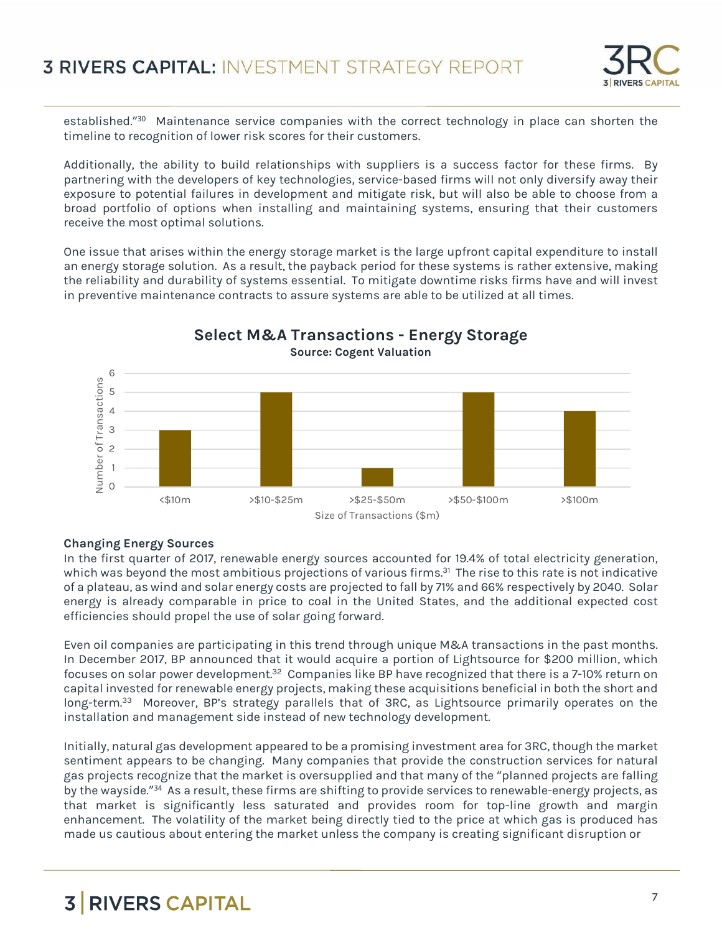

established."<sup>30</sup> Maintenance service companies with the correct technology in place can shorten the timeline to recognition of lower risk scores for their customers.

Additionally, the ability to build relationships with suppliers is a success factor for these firms. By partnering with the developers of key technologies, service-based firms will not only diversify away their exposure to potential failures in development and mitigate risk, but will also be able to choose from a broad portfolio of options when installing and maintaining systems, ensuring that their customers receive the most optimal solutions.

One issue that arises within the energy storage market is the large upfront capital expenditure to install an energy storage solution. As a result, the payback period for these systems is rather extensive, making the reliability and durability of systems essential. To mitigate downtime risks firms have and will invest in preventive maintenance contracts to assure systems are able to be utilized at all times.



**Select M&A Transactions - Energy Storage** 

#### **Changing Energy Sources**

In the first quarter of 2017, renewable energy sources accounted for 19.4% of total electricity generation, which was beyond the most ambitious projections of various firms.<sup>31</sup> The rise to this rate is not indicative of a plateau, as wind and solar energy costs are projected to fall by 71% and 66% respectively by 2040. Solar energy is already comparable in price to coal in the United States, and the additional expected cost efficiencies should propel the use of solar going forward.

Even oil companies are participating in this trend through unique M&A transactions in the past months. In December 2017, BP announced that it would acquire a portion of Lightsource for \$200 million, which focuses on solar power development.<sup>32</sup> Companies like BP have recognized that there is a 7-10% return on capital invested for renewable energy projects, making these acquisitions beneficial in both the short and long-term.<sup>33</sup> Moreover, BP's strategy parallels that of 3RC, as Lightsource primarily operates on the installation and management side instead of new technology development.

Initially, natural gas development appeared to be a promising investment area for 3RC, though the market sentiment appears to be changing. Many companies that provide the construction services for natural gas projects recognize that the market is oversupplied and that many of the "planned projects are falling by the wayside."<sup>34</sup> As a result, these firms are shifting to provide services to renewable-energy projects, as that market is significantly less saturated and provides room for top-line growth and margin enhancement. The volatility of the market being directly tied to the price at which gas is produced has made us cautious about entering the market unless the company is creating significant disruption or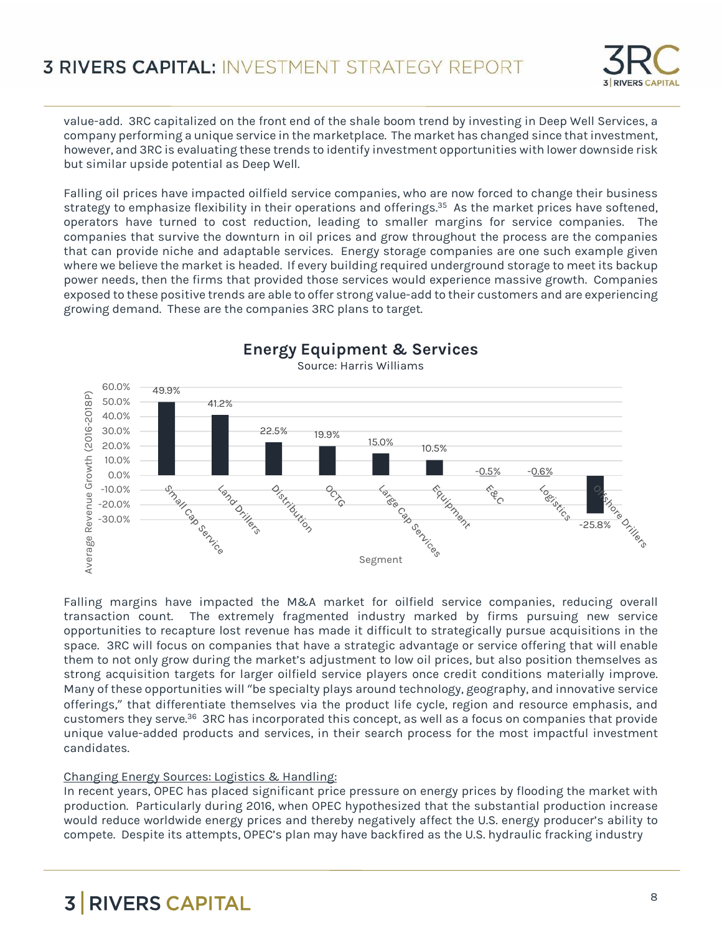

value-add. 3RC capitalized on the front end of the shale boom trend by investing in Deep Well Services, a company performing a unique service in the marketplace. The market has changed since that investment, however, and 3RC is evaluating these trends to identify investment opportunities with lower downside risk but similar upside potential as Deep Well.

Falling oil prices have impacted oilfield service companies, who are now forced to change their business strategy to emphasize flexibility in their operations and offerings.<sup>35</sup> As the market prices have softened, operators have turned to cost reduction, leading to smaller margins for service companies. The companies that survive the downturn in oil prices and grow throughout the process are the companies that can provide niche and adaptable services. Energy storage companies are one such example given where we believe the market is headed. If every building required underground storage to meet its backup power needs, then the firms that provided those services would experience massive growth. Companies exposed to these positive trends are able to offer strong value-add to their customers and are experiencing growing demand. These are the companies 3RC plans to target.



Falling margins have impacted the M&A market for oilfield service companies, reducing overall transaction count. The extremely fragmented industry marked by firms pursuing new service opportunities to recapture lost revenue has made it difficult to strategically pursue acquisitions in the space. 3RC will focus on companies that have a strategic advantage or service offering that will enable them to not only grow during the market's adjustment to low oil prices, but also position themselves as strong acquisition targets for larger oilfield service players once credit conditions materially improve. Many of these opportunities will "be specialty plays around technology, geography, and innovative service offerings," that differentiate themselves via the product life cycle, region and resource emphasis, and customers they serve.<sup>36</sup> 3RC has incorporated this concept, as well as a focus on companies that provide unique value-added products and services, in their search process for the most impactful investment candidates.

#### Changing Energy Sources: Logistics & Handling:

In recent years, OPEC has placed significant price pressure on energy prices by flooding the market with production. Particularly during 2016, when OPEC hypothesized that the substantial production increase would reduce worldwide energy prices and thereby negatively affect the U.S. energy producer's ability to compete. Despite its attempts, OPEC's plan may have backfired as the U.S. hydraulic fracking industry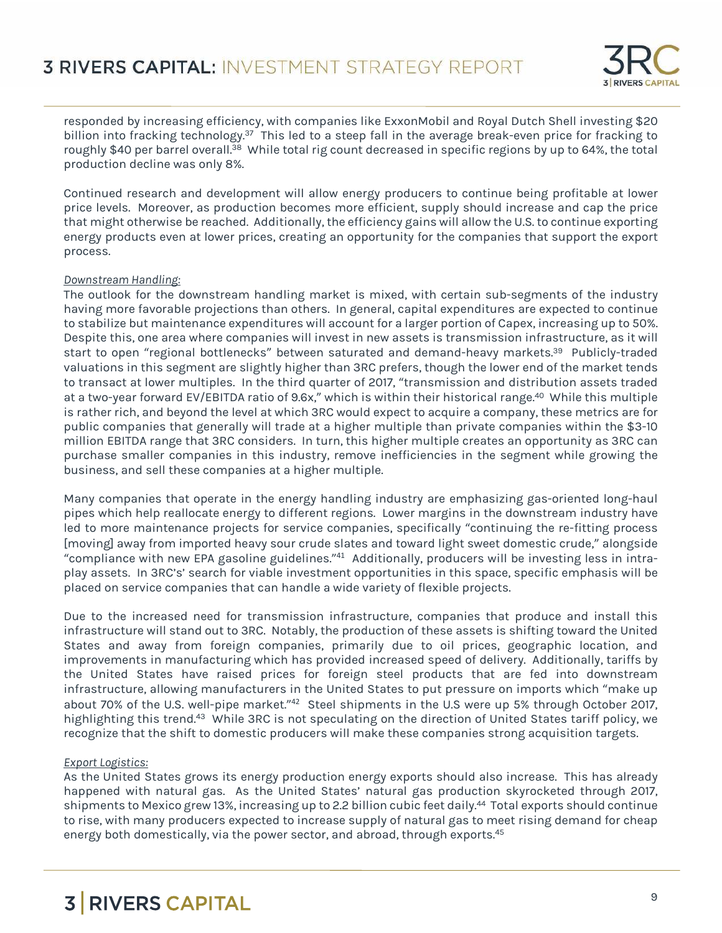

responded by increasing efficiency, with companies like ExxonMobil and Royal Dutch Shell investing \$20 billion into fracking technology.<sup>37</sup> This led to a steep fall in the average break-even price for fracking to roughly \$40 per barrel overall.<sup>38</sup> While total rig count decreased in specific regions by up to 64%, the total production decline was only 8%.

Continued research and development will allow energy producers to continue being profitable at lower price levels. Moreover, as production becomes more efficient, supply should increase and cap the price that might otherwise be reached. Additionally, the efficiency gains will allow the U.S. to continue exporting energy products even at lower prices, creating an opportunity for the companies that support the export process.

#### *Downstream Handling:*

The outlook for the downstream handling market is mixed, with certain sub-segments of the industry having more favorable projections than others. In general, capital expenditures are expected to continue to stabilize but maintenance expenditures will account for a larger portion of Capex, increasing up to 50%. Despite this, one area where companies will invest in new assets is transmission infrastructure, as it will start to open "regional bottlenecks" between saturated and demand-heavy markets.<sup>39</sup> Publicly-traded valuations in this segment are slightly higher than 3RC prefers, though the lower end of the market tends to transact at lower multiples. In the third quarter of 2017, "transmission and distribution assets traded at a two-year forward EV/EBITDA ratio of 9.6x," which is within their historical range.<sup>40</sup> While this multiple is rather rich, and beyond the level at which 3RC would expect to acquire a company, these metrics are for public companies that generally will trade at a higher multiple than private companies within the \$3-10 million EBITDA range that 3RC considers. In turn, this higher multiple creates an opportunity as 3RC can purchase smaller companies in this industry, remove inefficiencies in the segment while growing the business, and sell these companies at a higher multiple.

Many companies that operate in the energy handling industry are emphasizing gas-oriented long-haul pipes which help reallocate energy to different regions. Lower margins in the downstream industry have led to more maintenance projects for service companies, specifically "continuing the re-fitting process [moving] away from imported heavy sour crude slates and toward light sweet domestic crude," alongside "compliance with new EPA gasoline guidelines." <sup>41</sup> Additionally, producers will be investing less in intraplay assets. In 3RC's' search for viable investment opportunities in this space, specific emphasis will be placed on service companies that can handle a wide variety of flexible projects.

Due to the increased need for transmission infrastructure, companies that produce and install this infrastructure will stand out to 3RC. Notably, the production of these assets is shifting toward the United States and away from foreign companies, primarily due to oil prices, geographic location, and improvements in manufacturing which has provided increased speed of delivery. Additionally, tariffs by the United States have raised prices for foreign steel products that are fed into downstream infrastructure, allowing manufacturers in the United States to put pressure on imports which "make up about 70% of the U.S. well-pipe market."<sup>42</sup> Steel shipments in the U.S were up 5% through October 2017, highlighting this trend.<sup>43</sup> While 3RC is not speculating on the direction of United States tariff policy, we recognize that the shift to domestic producers will make these companies strong acquisition targets.

#### *Export Logistics:*

As the United States grows its energy production energy exports should also increase. This has already happened with natural gas. As the United States' natural gas production skyrocketed through 2017, shipments to Mexico grew 13%, increasing up to 2.2 billion cubic feet daily.<sup>44</sup> Total exports should continue to rise, with many producers expected to increase supply of natural gas to meet rising demand for cheap energy both domestically, via the power sector, and abroad, through exports.<sup>45</sup>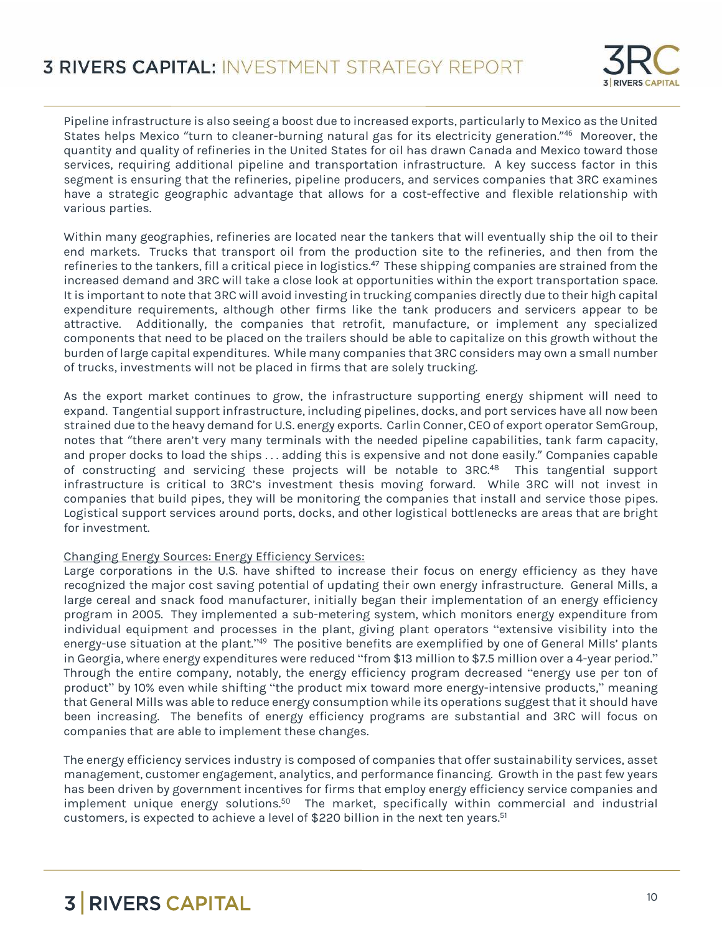

Pipeline infrastructure is also seeing a boost due to increased exports, particularly to Mexico as the United States helps Mexico "turn to cleaner-burning natural gas for its electricity generation." <sup>46</sup> Moreover, the quantity and quality of refineries in the United States for oil has drawn Canada and Mexico toward those services, requiring additional pipeline and transportation infrastructure. A key success factor in this segment is ensuring that the refineries, pipeline producers, and services companies that 3RC examines have a strategic geographic advantage that allows for a cost-effective and flexible relationship with various parties.

Within many geographies, refineries are located near the tankers that will eventually ship the oil to their end markets. Trucks that transport oil from the production site to the refineries, and then from the refineries to the tankers, fill a critical piece in logistics.<sup>47</sup> These shipping companies are strained from the increased demand and 3RC will take a close look at opportunities within the export transportation space. It is important to note that 3RC will avoid investing in trucking companies directly due to their high capital expenditure requirements, although other firms like the tank producers and servicers appear to be attractive. Additionally, the companies that retrofit, manufacture, or implement any specialized components that need to be placed on the trailers should be able to capitalize on this growth without the burden of large capital expenditures. While many companies that 3RC considers may own a small number of trucks, investments will not be placed in firms that are solely trucking.

As the export market continues to grow, the infrastructure supporting energy shipment will need to expand. Tangential support infrastructure, including pipelines, docks, and port services have all now been strained due to the heavy demand for U.S. energy exports. Carlin Conner, CEO of export operator SemGroup, notes that "there aren't very many terminals with the needed pipeline capabilities, tank farm capacity, and proper docks to load the ships . . . adding this is expensive and not done easily." Companies capable of constructing and servicing these projects will be notable to 3RC.<sup>48</sup> This tangential support infrastructure is critical to 3RC's investment thesis moving forward. While 3RC will not invest in companies that build pipes, they will be monitoring the companies that install and service those pipes. Logistical support services around ports, docks, and other logistical bottlenecks are areas that are bright for investment.

#### Changing Energy Sources: Energy Efficiency Services:

Large corporations in the U.S. have shifted to increase their focus on energy efficiency as they have recognized the major cost saving potential of updating their own energy infrastructure. General Mills, a large cereal and snack food manufacturer, initially began their implementation of an energy efficiency program in 2005. They implemented a sub-metering system, which monitors energy expenditure from individual equipment and processes in the plant, giving plant operators "extensive visibility into the energy-use situation at the plant."<sup>49</sup> The positive benefits are exemplified by one of General Mills' plants in Georgia, where energy expenditures were reduced "from \$13 million to \$7.5 million over a 4-year period." Through the entire company, notably, the energy efficiency program decreased "energy use per ton of product" by 10% even while shifting "the product mix toward more energy-intensive products," meaning that General Mills was able to reduce energy consumption while its operations suggest that it should have been increasing. The benefits of energy efficiency programs are substantial and 3RC will focus on companies that are able to implement these changes.

The energy efficiency services industry is composed of companies that offer sustainability services, asset management, customer engagement, analytics, and performance financing. Growth in the past few years has been driven by government incentives for firms that employ energy efficiency service companies and implement unique energy solutions.<sup>50</sup> The market, specifically within commercial and industrial customers, is expected to achieve a level of \$220 billion in the next ten years.51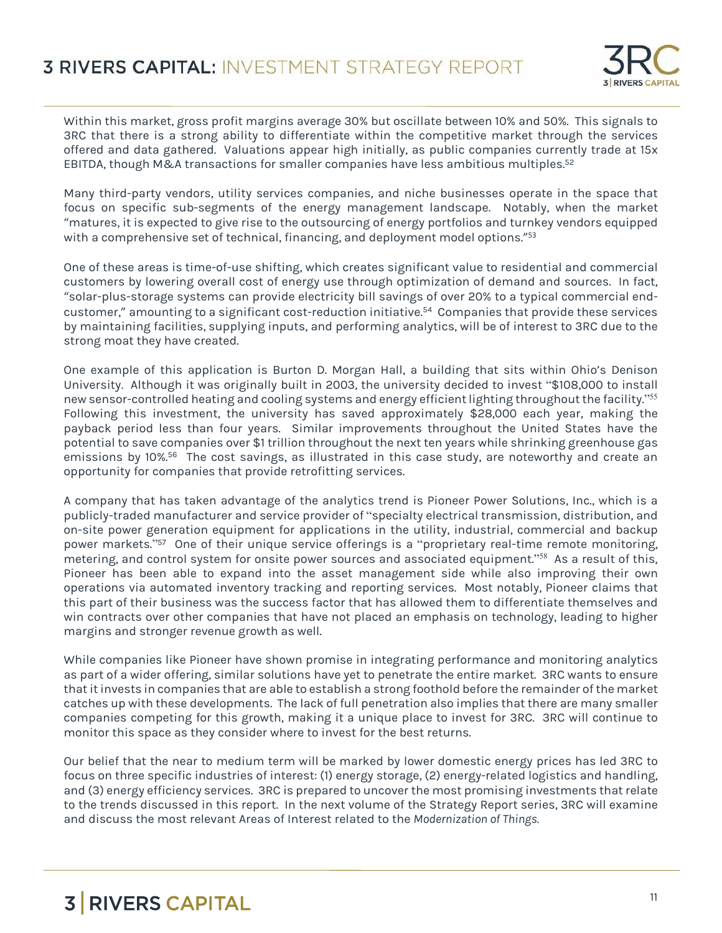

Within this market, gross profit margins average 30% but oscillate between 10% and 50%. This signals to 3RC that there is a strong ability to differentiate within the competitive market through the services offered and data gathered. Valuations appear high initially, as public companies currently trade at 15x EBITDA, though M&A transactions for smaller companies have less ambitious multiples.<sup>52</sup>

Many third-party vendors, utility services companies, and niche businesses operate in the space that focus on specific sub-segments of the energy management landscape. Notably, when the market "matures, it is expected to give rise to the outsourcing of energy portfolios and turnkey vendors equipped with a comprehensive set of technical, financing, and deployment model options." 53

One of these areas is time-of-use shifting, which creates significant value to residential and commercial customers by lowering overall cost of energy use through optimization of demand and sources. In fact, "solar-plus-storage systems can provide electricity bill savings of over 20% to a typical commercial endcustomer," amounting to a significant cost-reduction initiative.<sup>54</sup> Companies that provide these services by maintaining facilities, supplying inputs, and performing analytics, will be of interest to 3RC due to the strong moat they have created.

One example of this application is Burton D. Morgan Hall, a building that sits within Ohio's Denison University. Although it was originally built in 2003, the university decided to invest "\$108,000 to install new sensor-controlled heating and cooling systems and energy efficient lighting throughout the facility." 55 Following this investment, the university has saved approximately \$28,000 each year, making the payback period less than four years. Similar improvements throughout the United States have the potential to save companies over \$1 trillion throughout the next ten years while shrinking greenhouse gas emissions by 10%.<sup>56</sup> The cost savings, as illustrated in this case study, are noteworthy and create an opportunity for companies that provide retrofitting services.

A company that has taken advantage of the analytics trend is Pioneer Power Solutions, Inc., which is a publicly-traded manufacturer and service provider of "specialty electrical transmission, distribution, and on-site power generation equipment for applications in the utility, industrial, commercial and backup power markets."<sup>57</sup> One of their unique service offerings is a "proprietary real-time remote monitoring, metering, and control system for onsite power sources and associated equipment." <sup>58</sup> As a result of this, Pioneer has been able to expand into the asset management side while also improving their own operations via automated inventory tracking and reporting services. Most notably, Pioneer claims that this part of their business was the success factor that has allowed them to differentiate themselves and win contracts over other companies that have not placed an emphasis on technology, leading to higher margins and stronger revenue growth as well.

While companies like Pioneer have shown promise in integrating performance and monitoring analytics as part of a wider offering, similar solutions have yet to penetrate the entire market. 3RC wants to ensure that it invests in companies that are able to establish a strong foothold before the remainder of the market catches up with these developments. The lack of full penetration also implies that there are many smaller companies competing for this growth, making it a unique place to invest for 3RC. 3RC will continue to monitor this space as they consider where to invest for the best returns.

Our belief that the near to medium term will be marked by lower domestic energy prices has led 3RC to focus on three specific industries of interest: (1) energy storage, (2) energy-related logistics and handling, and (3) energy efficiency services. 3RC is prepared to uncover the most promising investments that relate to the trends discussed in this report. In the next volume of the Strategy Report series, 3RC will examine and discuss the most relevant Areas of Interest related to the *Modernization of Things.*